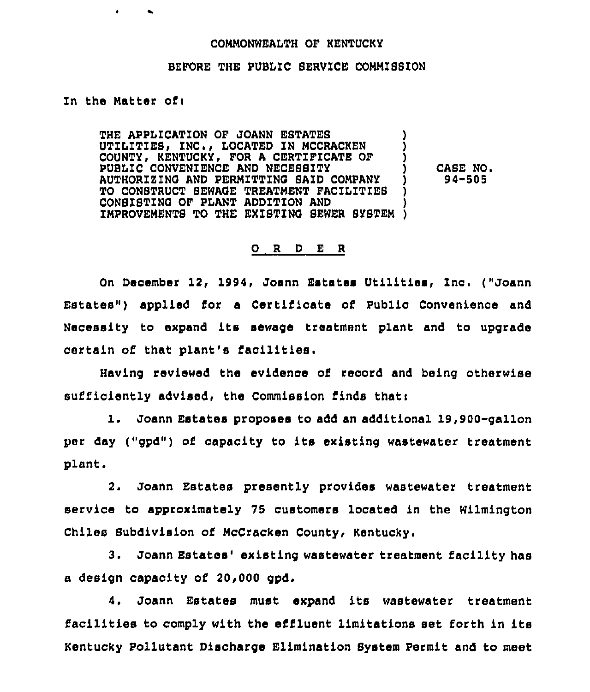## COMMONWEALTH OF KENTUCKY

## BEFORE THE PUBLIC SERVICE COMMISSION

## In the Matter ofi

THE APPLICATION OF JOANN ESTATES UTILITIES, INC., LOCATED IN MCCRACKEN COUNTY, KENTUCKY, FOR A CERTIFICATE OF PUBLIC CONVENIENCE AND NECESSITY AUTHORIZING AND PERMITTING SAID COMPANY TO CONSTRUCT SEWAGE TREATMENT FACILITIES CONSISTING OF PLANT ADDITION AND IMPROVEMENTS TO THE EXISTINO SEWER SYSTEM )

CASE NO. 94-505

## 0 <sup>R</sup> <sup>D</sup> <sup>E</sup> <sup>R</sup>

On December 12, 1994, Joann Estates Utilities, Inc. ("Joann Estates") applied for a Certificate of Public Convenience and Necessity to expand its sewage treatment plant and to upgrade certain of that plant's facilities.

Having reviewed the evidence of record and being otherwise sufficiently advised, the Commission finds thati

1. Joann Estates proposes to add an additional 19,900-gallon per day ("gpd") of capacity to its existing wastewater treatment plant.

2. Joann Estates presently provides wastewater treatment service to approximately 75 customers located in the Wilmington Chiles Subdivision of McCracken County, Kentucky.

3. Joann Estates' existing wastewater treatment facility has a design capacity of 20,000 gpd.

4. Joann Estates must expand its wastewater treatment facilities to comply with the effluent limitations set forth in its Kentucky Pollutant Discharge Elimination System Permit and to meet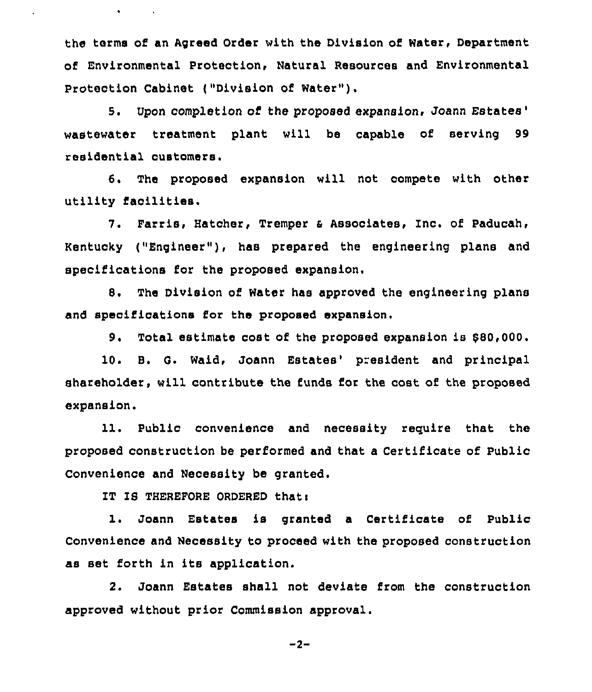the terms of an Agreed Order with the Division of Water, Department of Environmental Protection, Natural Resources and Environmental Protection Cabinet ("Division of Water").

5. Upon completion of the proposed expansion, Joann treatment plant will be capable of serving 99 residential customers'.

6. The proposed expansion will not compete with other utility facilities.

7. Ferris, Hatcher, Tremper <sup>a</sup> Associates, Inc. of Paducah, Kentucky ("Engineer"), has prepared the engineering plans and specifications for the proposed expansion.

8, The Division of Water has approved the engineering plans and specifications for the proposed expansion,

9. Total estimate cost of the proposed expansion is \$80,000.

10. B. G. Waid, Joann Estates' president and principal shareholder, will contribute the funds for the cost of the proposed expansion.

11. Public convenience and necessity require that the proposed construction be performed and that a Certificate of Public Convenience and Necessity be granted.

IT IS THEREFORE ORDERED thatt

 $\bullet$  . The second second  $\bullet$ 

1. Joann Estates is granted <sup>a</sup> Certificate of Public Convenience and Necessity to proceed with the proposed construction as set forth in its application.

2. Joann Estates shall not deviate from the construction approved without prior Commission approval.

 $-2-$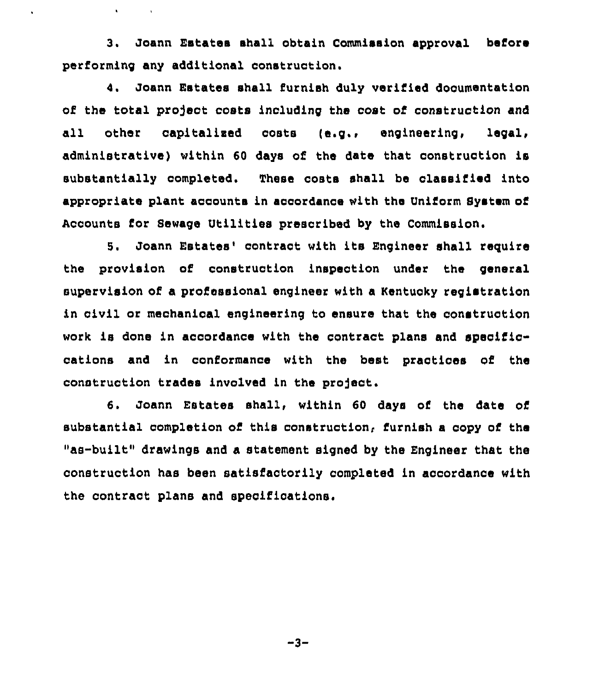3. Joann Estates shall obtain Commission approval before performing any additional construction.

 $\mathbf{t}$ 

 $\sim 10$ 

4. Joann Estates shall furnish duly verified documentation of the total project costs including the cost of construction and all other capitalised costs (e.g., engineering, legal, administrative) within 60 days of the date that construction is substantially completed. These costs shall be classified into appropriate plant acoounts in accordance with the Uniform System of Accounts for Sewage Utilities prescribed by the Commission.

6. Joann Estates'ontract with its Engineer shall reguire the provision of construction inspection under the general supervision of a professional engineer with a Kentucky registration in civil or mechanical engineering to ensure that the construction work is done in accordance with the contract plans and specificcations and in conformance with the best practices of the construction trades involved in the project.

6. Joann Estates shall, within 60 days of the date of substantial completion of this construction, furnish a copy of the "as-built" drawings and a statement signed by the Engineer that the construction has been satisfactorily completed in accordance with the contract plans and specifications.

 $-3-$